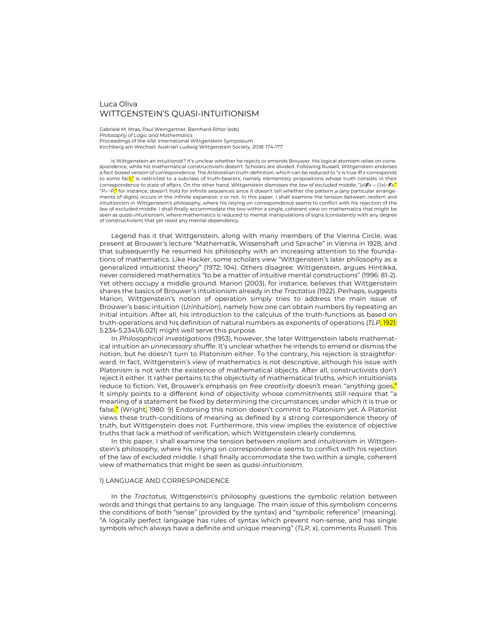# Luca Oliva WITTGENSTEIN'S QUASI-INTUITIONISM

Gabriele M. Mras, Paul Weingartner, Bernhard Ritter (eds) *Philosophy of Logic and Mathematics* Proceedings of the 41st International Wittgenstein Symposium Kirchberg am Wechsel: Austrian Ludwig Wittgenstein Society, 2018: 174-177

Is Wittgenstein an intuitionist? It's unclear whether he rejects or emends Brouwer. His logical atomism relies on correspondence, while his mathematical constructivism doesn't. Scholars are divided. Following Russell, Wittgenstein endorses a *fact-based version of correspondence*. The Aristotelian truth-definition, which can be reduced to "*x* is true iff *x* corresponds to some fact," is restricted to a subclass of truth-bearers, namely *elementary* propositions whose truth consists in their correspondence to state of affairs. On the other hand, Wittgenstein dismisses the law of excluded middle, "(x)**F***x* v (3x)~**F***x*." "*P*<sub>V</sub><sup>n</sup> for instance, doesn't hold for infinite sequences since it doesn't tell whether the pattern  $\varphi$  (any particular arrangements of digits) occurs in the infinite expansion  $\pi$  or not. In this paper, I shall examine the tension between *realism* and *intuitionism* in Wittgenstein's philosophy, where his relying on correspondence seems to conflict with his rejection of the law of excluded middle. I shall finally accommodate the two within a single, coherent view on mathematics that might be seen as *quasi-intuitionism*, where mathematics is reduced to mental manipulations of signs (consistently with any degree of constructivism) that yet resist any mental dependency.

Legend has it that Wittgenstein, along with many members of the Vienna Circle, was present at Brouwer's lecture "Mathematik, Wissenshaft und Sprache" in Vienna in 1928, and that subsequently he resumed his philosophy with an increasing attention to the foundations of mathematics. Like Hacker, some scholars view "Wittgenstein's later philosophy as a generalized intuitionist theory" (1972: 104). Others disagree. Wittgenstein, argues Hintikka, never considered mathematics "to be a matter of intuitive mental constructions" (1996: 81-2). Yet others occupy a middle ground. Marion (2003), for instance, believes that Wittgenstein shares the basics of Brouwer's intuitionism already in the *Tractatus* (1922). Perhaps, suggests Marion, Wittgenstein's notion of operation simply tries to address the main issue of Brouwer's basic intuition (*Urintuition*), namely how one can obtain numbers by repeating an initial intuition. After all, his introduction to the calculus of the truth-functions as based on truth-operations and his definition of natural numbers as exponents of operations (*TLP*, 1921: 5.234-5.2341/6.021) might well serve this purpose.

In *Philosophical Investigations* (1953), however, the later Wittgenstein labels mathematical intuition an *unnecessary shuffle*. It's unclear whether he intends to emend or dismiss the notion, but he doesn't turn to Platonism either. To the contrary, his rejection is straightforward. In fact, Wittgenstein's view of mathematics is not descriptive, although his issue with Platonism is not with the existence of mathematical objects. After all, constructivists don't reject it either. It rather pertains to the objectivity of mathematical truths, which intuitionists reduce to fiction. Yet, Brouwer's emphasis on *free creativity* doesn't mean "anything goes." It simply points to a different kind of objectivity whose commitments still require that "a meaning of a statement be fixed by determining the circumstances under which it is true or false." (Wright, 1980: 9) Endorsing this notion doesn't commit to Platonism yet. A Platonist views these truth-conditions of meaning as defined by a strong correspondence theory of truth, but Wittgenstein does not. Furthermore, this view implies the existence of objective truths that lack a method of verification, which Wittgenstein clearly condemns.

In this paper, I shall examine the tension between *realism* and *intuitionism* in Wittgenstein's philosophy, where his relying on correspondence seems to conflict with his rejection of the law of excluded middle. I shall finally accommodate the two within a single, coherent view of mathematics that might be seen as *quasi-intuitionism*.

#### 1) LANGUAGE AND CORRESPONDENCE

In the *Tractatus*, Wittgenstein's philosophy questions the symbolic relation between words and things that pertains to any language. The main issue of this symbolism concerns the conditions of both "sense" (provided by the syntax) and "symbolic reference" (meaning). "A logically perfect language has rules of syntax which prevent non-sense, and has single symbols which always have a definite and unique meaning" (*TLP*, x), comments Russell. This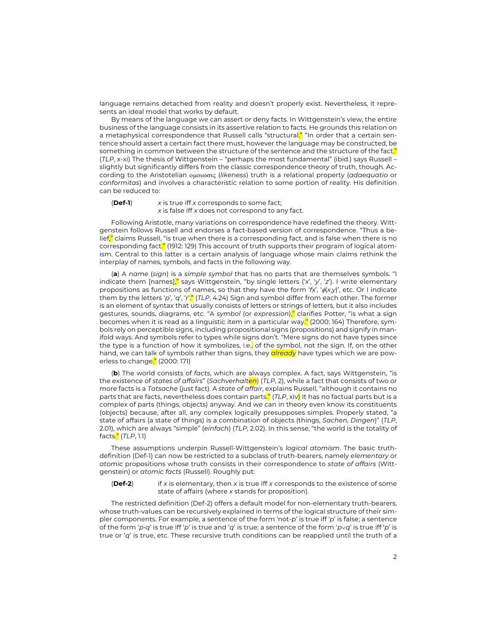language remains detached from reality and doesn't properly exist. Nevertheless, it represents an ideal model that works by default.

By means of the language we can assert or deny facts. In Wittgenstein's view, the entire business of the language consists in its assertive relation to facts. He grounds this relation on a metaphysical correspondence that Russell calls "structural." "In order that a certain sentence should assert a certain fact there must, however the language may be constructed, be something in common between the structure of the sentence and the structure of the fact." (*TLP*, x-xi) The thesis of Wittgenstein – "perhaps the most fundamental" (ibid.) says Russell – slightly but significantly differs from the classic correspondence theory of truth, though. According to the Aristotelian oµoiwsiV (*likeness*) truth is a relational property (*adaequatio* or *conformitas*) and involves a characteristic relation to some portion of reality. His definition can be reduced to:

### (**Def-1**) *x* is true iff *x* corresponds to some fact; *x* is false iff *x* does not correspond to any fact.

Following Aristotle, many variations on correspondence have redefined the theory. Wittgenstein follows Russell and endorses a fact-based version of correspondence. "Thus a belief." claims Russell, "is true when there is a corresponding fact, and is false when there is no corresponding fact." (1912: 129) This account of truth supports their program of logical atomism. Central to this latter is a certain analysis of language whose main claims rethink the interplay of names, symbols, and facts in the following way.

(**a**) A *name* (*sign*) is a *simple symbol* that has no parts that are themselves symbols. "I indicate them [names]," says Wittgenstein, "by single letters ('*x*', '*y*', '*z*'). I write elementary propositions as functions of names, so that they have the form ' $f x'$ , ' $\phi$ ( $x,y$ ', etc. Or I indicate them by the letters '*p*', '*q*', '*r*'." (*TLP*, 4.24) Sign and symbol differ from each other. The former is an element of syntax that usually consists of letters or strings of letters, but it also includes gestures, sounds, diagrams, etc. "A *symbol* (or *expression*)," clarifies Potter, "is what a sign becomes when it is read as a linguistic item in a particular way." (2000: 164) Therefore, symbols rely on perceptible signs, including propositional signs (propositions) and signify in manifold ways. And symbols refer to types while signs don't. "Mere signs do not have types since the type is a function of how it symbolizes, i.e., of the symbol, not the sign. If, on the other hand, we can talk of symbols rather than signs, they *already* have types which we are powerless to change." (2000: 171)

(**b**) The world consists of *facts*, which are always complex. A fact, says Wittgenstein, "is the existence of *states of affairs*" (*Sachverhalten*) (*TLP*, 2), while a fact that consists of two or more facts is a *Tatsache* (just fact). A *state of affair*, explains Russell, "although it contains no parts that are facts, nevertheless does contain parts." (*TLP*, xiv) It has no factual parts but is a complex of parts (things, objects) anyway. And we can in theory even know its constituents (objects) because, after all, any complex logically presupposes simples. Properly stated, "a state of affairs (a state of things) is a combination of objects (things, *Sachen, Dingen*)" (*TLP*, 2.01), which are always "simple" (*einfach*) (*TLP*, 2.02). In this sense, "the world is the totality of facts." (*TLP*, 1.1)

These assumptions underpin Russell-Wittgenstein's *logical atomism*. The basic truthdefinition (Def-1) can now be restricted to a subclass of truth-bearers, namely *elementary* or *atomic* propositions whose truth consists in their correspondence to *state of affairs* (Wittgenstein) or *atomic facts* (Russell). Roughly put:

(**Def-2**) if *x* is elementary, then *x* is true iff *x* corresponds to the existence of some state of affairs (where *x* stands for proposition).

The restricted definition (Def-2) offers a default model for non-elementary truth-bearers, whose truth-values can be recursively explained in terms of the logical structure of their simpler components. For example, a sentence of the form 'not-*p*' is true iff '*p*' is false; a sentence of the form '*p*·q' is true iff '*p*' is true and 'q' is true; a sentence of the form '*p* $\vee$ q' is true iff '*p*' is true or '*q*' is true, etc. These recursive truth conditions can be reapplied until the truth of a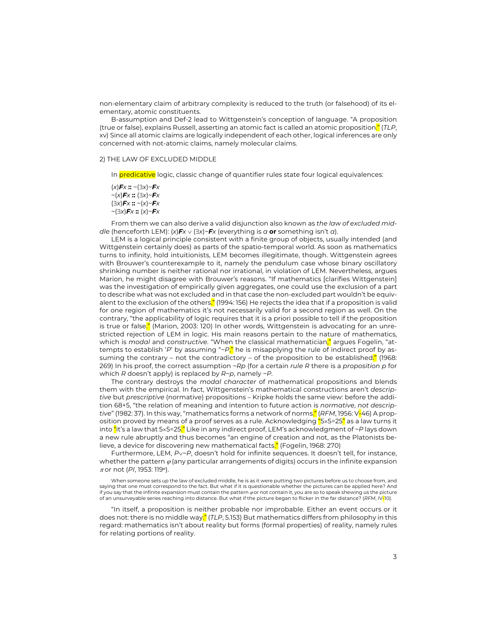non-elementary claim of arbitrary complexity is reduced to the truth (or falsehood) of its elementary, atomic constituents.

B-assumption and Def-2 lead to Wittgenstein's conception of language. "A proposition (true or false), explains Russell, asserting an atomic fact is called an atomic proposition." (*TLP*, xv) Since all atomic claims are logically independent of each other, logical inferences are only concerned with not-atomic claims, namely molecular claims.

## 2) THE LAW OF EXCLUDED MIDDLE

In predicative logic, classic change of quantifier rules state four logical equivalences:

 $(X)$ *Fx*  $:: \sim (\exists x) \sim$ *Fx ~*(*x*)*Fx* **::** (\$*x*)*~Fx*  $(\exists x)$ *Fx* ::  $\sim$   $(x)$  $\sim$  *Fx ~*(\$*x*)*Fx* **::** (*x*)*~Fx*

From them we can also derive a valid disjunction also known as *the law of excluded middle* (henceforth LEM): (*x*) $\vec{F}$ *x*  $\vee$  ( $\exists$ *x*) $\sim$  $\vec{F}$ *x* (everything is *a* or something isn't *a*).

LEM is a logical principle consistent with a finite group of objects, usually intended (and Wittgenstein certainly does) as parts of the spatio-temporal world. As soon as mathematics turns to infinity, hold intuitionists, LEM becomes illegitimate, though. Wittgenstein agrees with Brouwer's counterexample to it, namely the pendulum case whose binary oscillatory shrinking number is neither rational nor irrational, in violation of LEM. Nevertheless, argues Marion, he might disagree with Brouwer's reasons. "If mathematics [clarifies Wittgenstein] was the investigation of empirically given aggregates, one could use the exclusion of a part to describe what was not excluded and in that case the non-excluded part wouldn't be equivalent to the exclusion of the others." (1994: 156) He rejects the idea that if a proposition is valid for one region of mathematics it's not necessarily valid for a second region as well. On the contrary, "the applicability of logic requires that it is a priori possible to tell if the proposition is true or false." (Marion, 2003: 120) In other words, Wittgenstein is advocating for an unrestricted rejection of LEM in logic. His main reasons pertain to the nature of mathematics, which is *modal* and *constructive*. "When the classical mathematician," argues Fogelin, "attempts to establish '*P*' by assuming "*~P*," he is misapplying the rule of indirect proof by assuming the contrary – not the contradictory – of the proposition to be established." (1968: 269) In his proof, the correct assumption *~Rp* (for a certain *rule R* there is a *proposition p* for which *R* doesn't apply) is replaced by *R~p*, namely *~P*.

The contrary destroys the *modal character* of mathematical propositions and blends them with the empirical. In fact, Wittgenstein's mathematical constructions aren't *descriptive* but *prescriptive* (normative) propositions – Kripke holds the same view: before the addition 68+5, "the relation of meaning and intention to future action is *normative*, *not descriptive*" (1982: 37). In this way, "mathematics forms a network of norms." (*RFM*, 1956: V-46) A proposition proved by means of a proof serves as a rule. Acknowledging  $*5\times5=25"$  as a law turns it into "it's a law that 5×5=25." Like in any indirect proof, LEM's acknowledgment of *~P* lays down a new rule abruptly and thus becomes "an engine of creation and not, as the Platonists believe, a device for discovering new mathematical facts." (Fogelin, 1968: 270)

Furthermore, LEM,  $P\vee P$ , doesn't hold for infinite sequences. It doesn't tell, for instance, whether the pattern  $\varphi$  (any particular arrangements of digits) occurs in the infinite expansion  $π$  or not (*PI*, 1953: 119<sup>e</sup>).

"In itself, a proposition is neither probable nor improbable. Either an event occurs or it does not: there is no middle way." (*TLP*, 5.153) But mathematics differs from philosophy in this regard: mathematics isn't about reality but forms (formal properties) of reality, namely rules for relating portions of reality.

When someone sets up the law of excluded middle, he is as it were putting two pictures before us to choose from, and saying that one must correspond to the fact. But what if it is questionable whether the pictures can be applied here? And if you say that the infinite expansion must contain the pattern  $\varphi$  or not contain it, you are so to speak shewing us the picture of an unsurveyable series reaching into distance. But what if the picture began to flicker in the far distance? (*RFM*, IV-10).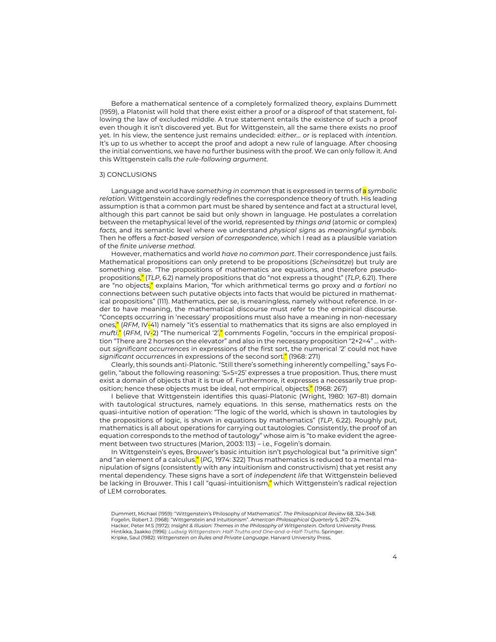Before a mathematical sentence of a completely formalized theory, explains Dummett (1959), a Platonist will hold that there exist either a proof or a disproof of that statement, following the law of excluded middle. A true statement entails the existence of such a proof even though it isn't discovered yet. But for Wittgenstein, all the same there exists no proof yet. In his view, the sentence just remains undecided: *either… or* is replaced with *intention*. It's up to us whether to accept the proof and adopt a new rule of language. After choosing the initial conventions, we have no further business with the proof. We can only follow it. And this Wittgenstein calls *the rule-following argument*.

## 3) CONCLUSIONS

Language and world have *something in common* that is expressed in terms of a *symbolic relation*. Wittgenstein accordingly redefines the correspondence theory of truth. His leading assumption is that a common part must be shared by sentence and fact at a structural level, although this part cannot be said but only shown in language. He postulates a correlation between the metaphysical level of the world, represented by *things and* (atomic or complex) *facts*, and its semantic level where we understand *physical signs* as *meaningful symbols*. Then he offers a *fact-based version of correspondence*, which I read as a plausible variation of the *finite universe method*.

However, mathematics and world *have no common part*. Their correspondence just fails. Mathematical propositions can only pretend to be propositions (*Scheinsätze*) but truly are something else. "The propositions of mathematics are equations, and therefore pseudopropositions," (*TLP*, 6.2) namely propositions that do "not express a thought" (*TLP*, 6.21). There are "no objects," explains Marion, "for which arithmetical terms go proxy and *a fortiori* no connections between such putative objects into facts that would be pictured in mathematical propositions" (111). Mathematics, per se, is meaningless, namely without reference. In order to have meaning, the mathematical discourse must refer to the empirical discourse. "Concepts occurring in 'necessary' propositions must also have a meaning in non-necessary ones," (*RFM*, IV-41) namely "it's essential to mathematics that its signs are also employed in *mufti*." (*RFM*, IV-2) "The numerical '2'," comments Fogelin, "occurs in the empirical proposition "There are 2 horses on the elevator" and also in the necessary proposition "2+2=4" … without *significant occurrences* in expressions of the first sort, the numerical '2' could not have *significant occurrences* in expressions of the second sort." (1968: 271)

Clearly, this sounds anti-Platonic. "Still there's something inherently compelling," says Fogelin, "about the following reasoning: '5x5=25' expresses a true proposition. Thus, there must exist a domain of objects that it is true of. Furthermore, it expresses a necessarily true proposition; hence these objects must be ideal, not empirical, objects." (1968: 267)

I believe that Wittgenstein identifies this quasi-Platonic (Wright, 1980: 167–81) domain with tautological structures, namely equations. In this sense, mathematics rests on the quasi-intuitive notion of operation: "The logic of the world, which is shown in tautologies by the propositions of logic, is shown in equations by mathematics" (*TLP*, 6.22). Roughly put, mathematics is all about operations for carrying out tautologies. Consistently, the proof of an equation corresponds to the method of tautology" whose aim is "to make evident the agreement between two structures (Marion, 2003: 113) – i.e., Fogelin's domain.

In Wittgenstein's eyes, Brouwer's basic intuition isn't psychological but "a primitive sign" and "an element of a calculus." (*PG*, 1974: 322) Thus mathematics is reduced to a mental manipulation of signs (consistently with any intuitionism and constructivism) that yet resist any mental dependency. These signs have a sort of *independent life* that Wittgenstein believed be lacking in Brouwer. This I call "quasi-intuitionism," which Wittgenstein's radical rejection of LEM corroborates.

Dummett, Michael (1959): "Wittgenstein's Philosophy of Mathematics". *The Philosophical Review* 68, 324-348. Fogelin, Robert J. (1968): "Wittgenstein and Intuitionism". *American Philosophical Quarterly* 5, 267-274. Hacker, Peter M.S (1972): *Insight & Illusion: Themes in the Philosophy of Wittgenstein*. Oxford University Press. Hintikka, Jaakko (1996): *Ludwig Wittgenstein: Half-Truths and One-and-a-Half-Truths*. Springer. Kripke, Saul (1982): *Wittgenstein on Rules and Private Language*. Harvard University Press.